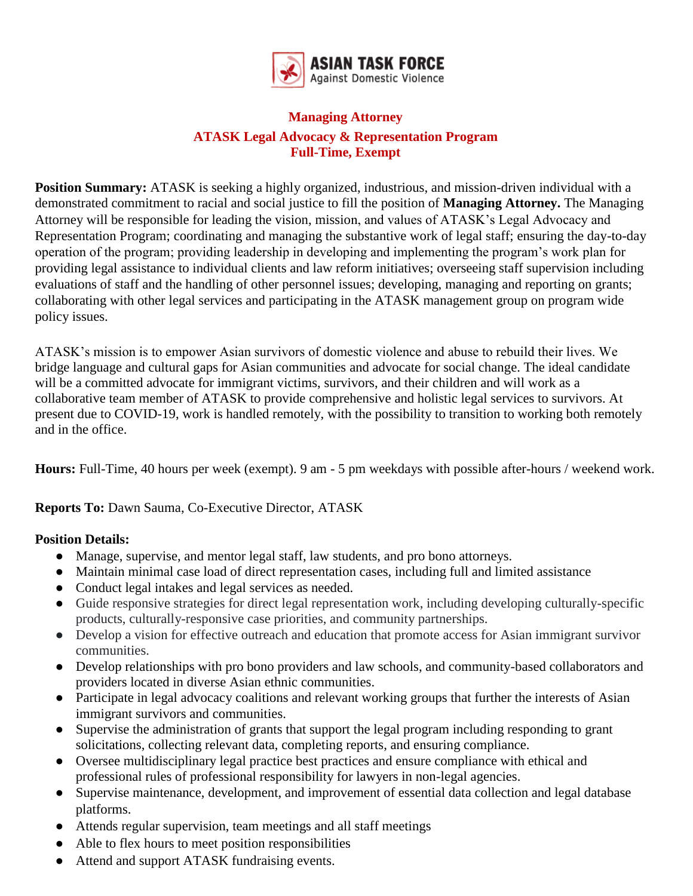

## **Managing Attorney ATASK Legal Advocacy & Representation Program Full-Time, Exempt**

**Position Summary:** ATASK is seeking a highly organized, industrious, and mission-driven individual with a demonstrated commitment to racial and social justice to fill the position of **Managing Attorney.** The Managing Attorney will be responsible for leading the vision, mission, and values of ATASK's Legal Advocacy and Representation Program; coordinating and managing the substantive work of legal staff; ensuring the day-to-day operation of the program; providing leadership in developing and implementing the program's work plan for providing legal assistance to individual clients and law reform initiatives; overseeing staff supervision including evaluations of staff and the handling of other personnel issues; developing, managing and reporting on grants; collaborating with other legal services and participating in the ATASK management group on program wide policy issues.

ATASK's mission is to empower Asian survivors of domestic violence and abuse to rebuild their lives. We bridge language and cultural gaps for Asian communities and advocate for social change. The ideal candidate will be a committed advocate for immigrant victims, survivors, and their children and will work as a collaborative team member of ATASK to provide comprehensive and holistic legal services to survivors. At present due to COVID-19, work is handled remotely, with the possibility to transition to working both remotely and in the office.

**Hours:** Full-Time, 40 hours per week (exempt). 9 am - 5 pm weekdays with possible after-hours / weekend work.

**Reports To:** Dawn Sauma, Co-Executive Director, ATASK

## **Position Details:**

- Manage, supervise, and mentor legal staff, law students, and pro bono attorneys.
- Maintain minimal case load of direct representation cases, including full and limited assistance
- Conduct legal intakes and legal services as needed.
- Guide responsive strategies for direct legal representation work, including developing culturally-specific products, culturally-responsive case priorities, and community partnerships.
- Develop a vision for effective outreach and education that promote access for Asian immigrant survivor communities.
- Develop relationships with pro bono providers and law schools, and community-based collaborators and providers located in diverse Asian ethnic communities.
- Participate in legal advocacy coalitions and relevant working groups that further the interests of Asian immigrant survivors and communities.
- Supervise the administration of grants that support the legal program including responding to grant solicitations, collecting relevant data, completing reports, and ensuring compliance.
- Oversee multidisciplinary legal practice best practices and ensure compliance with ethical and professional rules of professional responsibility for lawyers in non-legal agencies.
- Supervise maintenance, development, and improvement of essential data collection and legal database platforms.
- Attends regular supervision, team meetings and all staff meetings
- Able to flex hours to meet position responsibilities
- Attend and support ATASK fundraising events.